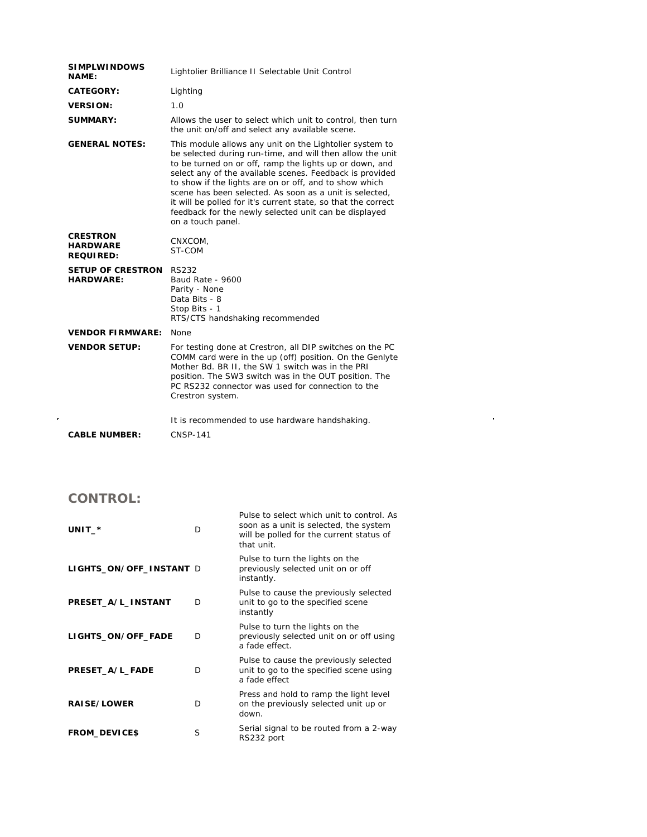| <b>SIMPLWINDOWS</b><br><b>NAME:</b>                    | Lightolier Brilliance II Selectable Unit Control                                                                                                                                                                                                                                                                                                                                                                                                                                                                |
|--------------------------------------------------------|-----------------------------------------------------------------------------------------------------------------------------------------------------------------------------------------------------------------------------------------------------------------------------------------------------------------------------------------------------------------------------------------------------------------------------------------------------------------------------------------------------------------|
| <b>CATEGORY:</b>                                       | Lighting                                                                                                                                                                                                                                                                                                                                                                                                                                                                                                        |
| <b>VERSION:</b>                                        | 1.0                                                                                                                                                                                                                                                                                                                                                                                                                                                                                                             |
| <b>SUMMARY:</b>                                        | Allows the user to select which unit to control, then turn<br>the unit on/off and select any available scene.                                                                                                                                                                                                                                                                                                                                                                                                   |
| <b>GENERAL NOTES:</b>                                  | This module allows any unit on the Lightolier system to<br>be selected during run-time, and will then allow the unit<br>to be turned on or off, ramp the lights up or down, and<br>select any of the available scenes. Feedback is provided<br>to show if the lights are on or off, and to show which<br>scene has been selected. As soon as a unit is selected,<br>it will be polled for it's current state, so that the correct<br>feedback for the newly selected unit can be displayed<br>on a touch panel. |
| <b>CRESTRON</b><br><b>HARDWARE</b><br><b>REQUIRED:</b> | CNXCOM,<br>ST-COM                                                                                                                                                                                                                                                                                                                                                                                                                                                                                               |
| <b>SETUP OF CRESTRON RS232</b><br><b>HARDWARE:</b>     | Baud Rate - 9600<br>Parity - None<br>Data Bits - 8<br>Stop Bits - 1<br>RTS/CTS handshaking recommended                                                                                                                                                                                                                                                                                                                                                                                                          |
| <b>VENDOR FIRMWARE:</b>                                | None                                                                                                                                                                                                                                                                                                                                                                                                                                                                                                            |
| <b>VENDOR SETUP:</b>                                   | For testing done at Crestron, all DIP switches on the PC<br>COMM card were in the up (off) position. On the Genlyte<br>Mother Bd. BR II, the SW 1 switch was in the PRI<br>position. The SW3 switch was in the OUT position. The<br>PC RS232 connector was used for connection to the<br>Crestron system.                                                                                                                                                                                                       |
| <b>CABLE NUMBER:</b>                                   | It is recommended to use hardware handshaking.<br><b>CNSP-141</b>                                                                                                                                                                                                                                                                                                                                                                                                                                               |

 $\label{eq:2.1} \mathcal{L}(\mathcal{L}) = \mathcal{L}(\mathcal{L}) \mathcal{L}(\mathcal{L}) = \mathcal{L}(\mathcal{L}) \mathcal{L}(\mathcal{L})$ 

**CONTROL:** 

| UNIT $-$ *              | D | Pulse to select which unit to control. As<br>soon as a unit is selected, the system<br>will be polled for the current status of<br>that unit. |
|-------------------------|---|-----------------------------------------------------------------------------------------------------------------------------------------------|
| LIGHTS_ON/OFF_INSTANT D |   | Pulse to turn the lights on the<br>previously selected unit on or off<br>instantly.                                                           |
| PRESET_A/L_INSTANT      | D | Pulse to cause the previously selected<br>unit to go to the specified scene<br>instantly                                                      |
| LIGHTS_ON/OFF_FADE      | D | Pulse to turn the lights on the<br>previously selected unit on or off using<br>a fade effect.                                                 |
| PRESET_A/L_FADE         | D | Pulse to cause the previously selected<br>unit to go to the specified scene using<br>a fade effect                                            |
| <b>RAISE/LOWER</b>      | D | Press and hold to ramp the light level<br>on the previously selected unit up or<br>down.                                                      |
| <b>FROM_DEVICE\$</b>    | S | Serial signal to be routed from a 2-way<br>RS232 port                                                                                         |